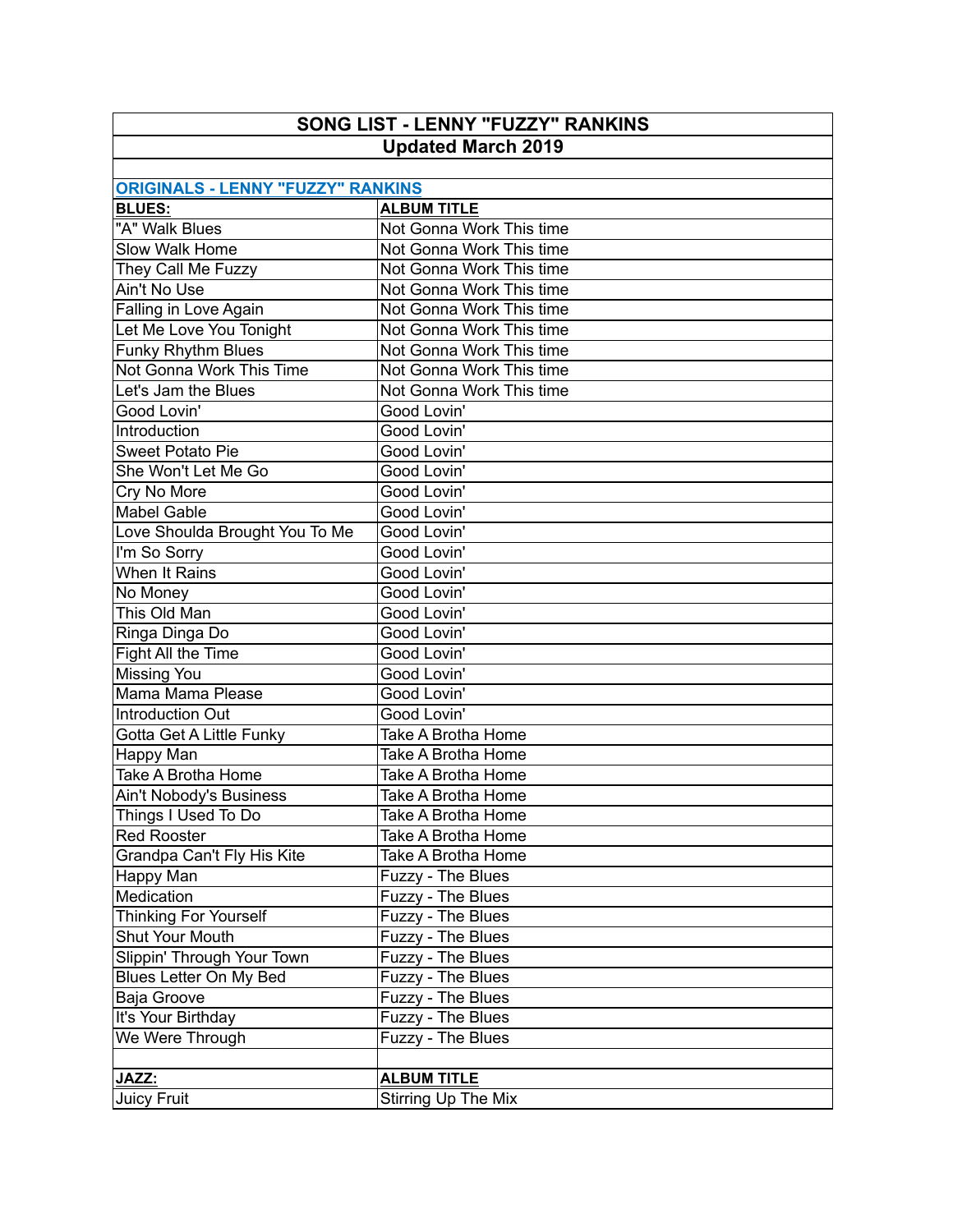| SONG LIST - LENNY "FUZZY" RANKINS<br><b>Updated March 2019</b> |                          |  |
|----------------------------------------------------------------|--------------------------|--|
|                                                                |                          |  |
| <b>ORIGINALS - LENNY "FUZZY" RANKINS</b>                       |                          |  |
| <b>BLUES:</b>                                                  | <b>ALBUM TITLE</b>       |  |
| "A" Walk Blues                                                 | Not Gonna Work This time |  |
| Slow Walk Home                                                 | Not Gonna Work This time |  |
| They Call Me Fuzzy                                             | Not Gonna Work This time |  |
| Ain't No Use                                                   | Not Gonna Work This time |  |
| Falling in Love Again                                          | Not Gonna Work This time |  |
| Let Me Love You Tonight                                        | Not Gonna Work This time |  |
| <b>Funky Rhythm Blues</b>                                      | Not Gonna Work This time |  |
| Not Gonna Work This Time                                       | Not Gonna Work This time |  |
| Let's Jam the Blues                                            | Not Gonna Work This time |  |
| Good Lovin'                                                    | Good Lovin'              |  |
| Introduction                                                   | Good Lovin'              |  |
| Sweet Potato Pie                                               | Good Lovin'              |  |
| She Won't Let Me Go                                            | Good Lovin'              |  |
| Cry No More                                                    | Good Lovin'              |  |
| <b>Mabel Gable</b>                                             | Good Lovin'              |  |
| Love Shoulda Brought You To Me                                 | Good Lovin'              |  |
| I'm So Sorry                                                   | Good Lovin'              |  |
| When It Rains                                                  | Good Lovin'              |  |
| No Money                                                       | Good Lovin'              |  |
| This Old Man                                                   | Good Lovin'              |  |
| Ringa Dinga Do                                                 | Good Lovin'              |  |
| Fight All the Time                                             | Good Lovin'              |  |
| Missing You                                                    | Good Lovin'              |  |
| Mama Mama Please                                               | Good Lovin'              |  |
| <b>Introduction Out</b>                                        | Good Lovin'              |  |
| Gotta Get A Little Funky                                       | Take A Brotha Home       |  |
| <b>Happy Man</b>                                               | Take A Brotha Home       |  |
| Take A Brotha Home                                             | Take A Brotha Home       |  |
| Ain't Nobody's Business                                        | Take A Brotha Home       |  |
| Things I Used To Do                                            | Take A Brotha Home       |  |
| <b>Red Rooster</b>                                             | Take A Brotha Home       |  |
| Grandpa Can't Fly His Kite                                     | Take A Brotha Home       |  |
| Happy Man                                                      | Fuzzy - The Blues        |  |
| Medication                                                     | Fuzzy - The Blues        |  |
| Thinking For Yourself                                          | Fuzzy - The Blues        |  |
| Shut Your Mouth                                                | Fuzzy - The Blues        |  |
| Slippin' Through Your Town                                     | Fuzzy - The Blues        |  |
| Blues Letter On My Bed                                         | Fuzzy - The Blues        |  |
| Baja Groove                                                    | Fuzzy - The Blues        |  |
| It's Your Birthday                                             | Fuzzy - The Blues        |  |
| We Were Through                                                | Fuzzy - The Blues        |  |
|                                                                |                          |  |
| JAZZ:                                                          | <b>ALBUM TITLE</b>       |  |
| Juicy Fruit                                                    | Stirring Up The Mix      |  |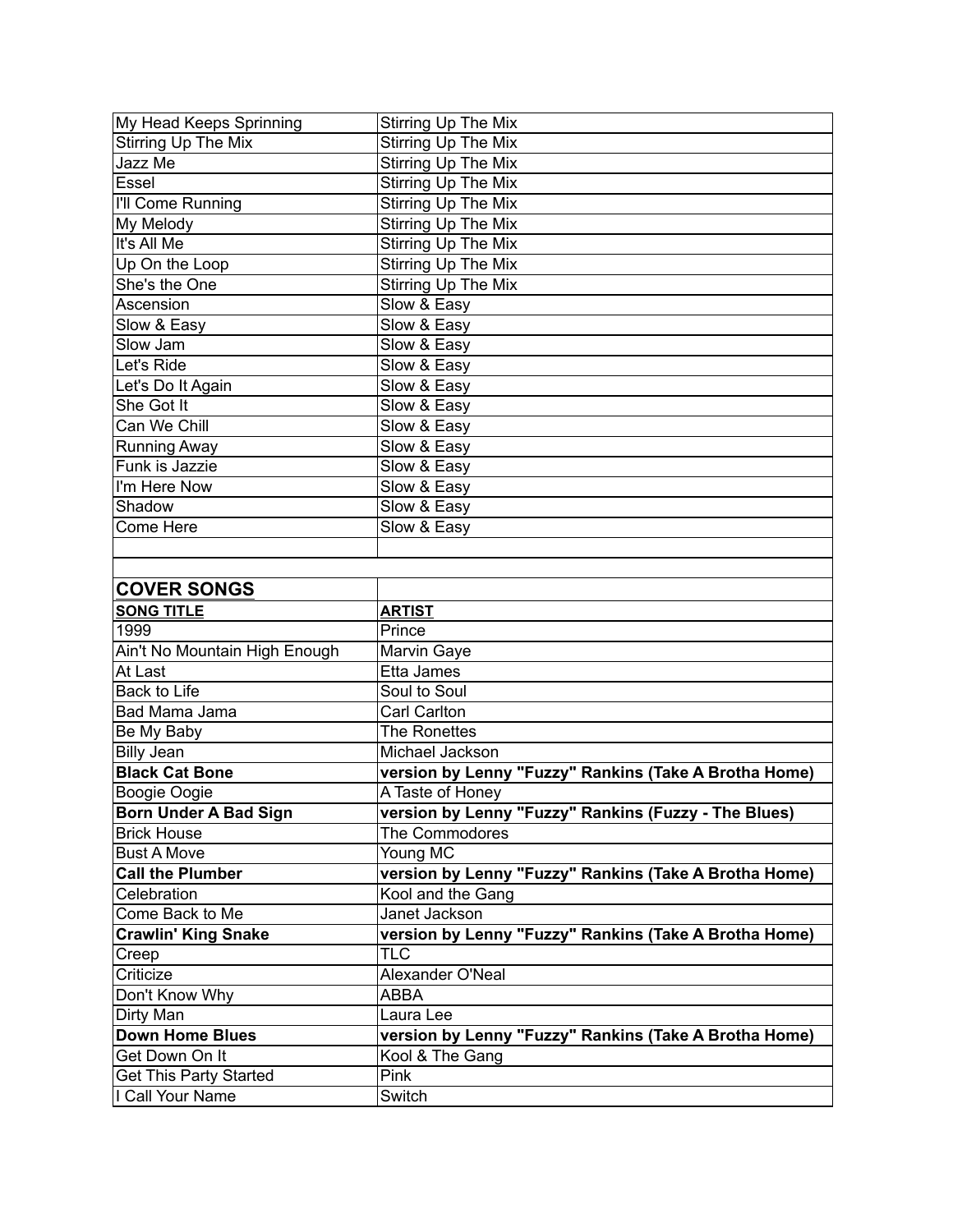| My Head Keeps Sprinning            | Stirring Up The Mix                                   |
|------------------------------------|-------------------------------------------------------|
| Stirring Up The Mix                | Stirring Up The Mix                                   |
| Jazz Me                            | Stirring Up The Mix                                   |
| Essel                              | Stirring Up The Mix                                   |
| I'll Come Running                  | Stirring Up The Mix                                   |
| My Melody                          | Stirring Up The Mix                                   |
| It's All Me                        | Stirring Up The Mix                                   |
| Up On the Loop                     | <b>Stirring Up The Mix</b>                            |
| She's the One                      | <b>Stirring Up The Mix</b>                            |
| Ascension                          | Slow & Easy                                           |
| Slow & Easy                        | Slow & Easy                                           |
| Slow Jam                           | Slow & Easy                                           |
| Let's Ride                         | Slow & Easy                                           |
| Let's Do It Again                  | Slow & Easy                                           |
| She Got It                         | Slow & Easy                                           |
| Can We Chill                       | Slow & Easy                                           |
| Running Away                       | Slow & Easy                                           |
| Funk is Jazzie                     | Slow & Easy                                           |
| $\overline{\mathsf{I'm}}$ Here Now | Slow & Easy                                           |
| Shadow                             | Slow & Easy                                           |
| Come Here                          | Slow & Easy                                           |
|                                    |                                                       |
|                                    |                                                       |
| <b>COVER SONGS</b>                 |                                                       |
| <b>SONG TITLE</b>                  | <b>ARTIST</b>                                         |
| 1999                               | Prince                                                |
| Ain't No Mountain High Enough      | Marvin Gaye                                           |
| At Last                            | Etta James                                            |
| <b>Back to Life</b>                | Soul to Soul                                          |
| Bad Mama Jama                      | Carl Carlton                                          |
| Be My Baby                         | <b>The Ronettes</b>                                   |
| Billy Jean                         | Michael Jackson                                       |
| <b>Black Cat Bone</b>              | version by Lenny "Fuzzy" Rankins (Take A Brotha Home) |
| Boogie Oogie                       | A Taste of Honey                                      |
| <b>Born Under A Bad Sign</b>       | version by Lenny "Fuzzy" Rankins (Fuzzy - The Blues)  |
| <b>Brick House</b>                 | The Commodores                                        |
| <b>Bust A Move</b>                 | Young MC                                              |
| <b>Call the Plumber</b>            | version by Lenny "Fuzzy" Rankins (Take A Brotha Home) |
| Celebration                        | Kool and the Gang                                     |
| Come Back to Me                    | Janet Jackson                                         |
| <b>Crawlin' King Snake</b>         | version by Lenny "Fuzzy" Rankins (Take A Brotha Home) |
| Creep                              | <b>TLC</b>                                            |
| Criticize                          | Alexander O'Neal                                      |
| Don't Know Why                     | <b>ABBA</b>                                           |
| Dirty Man                          | Laura Lee                                             |
| <b>Down Home Blues</b>             | version by Lenny "Fuzzy" Rankins (Take A Brotha Home) |
| Get Down On It                     | Kool & The Gang                                       |
| Get This Party Started             | Pink                                                  |
| I Call Your Name                   | Switch                                                |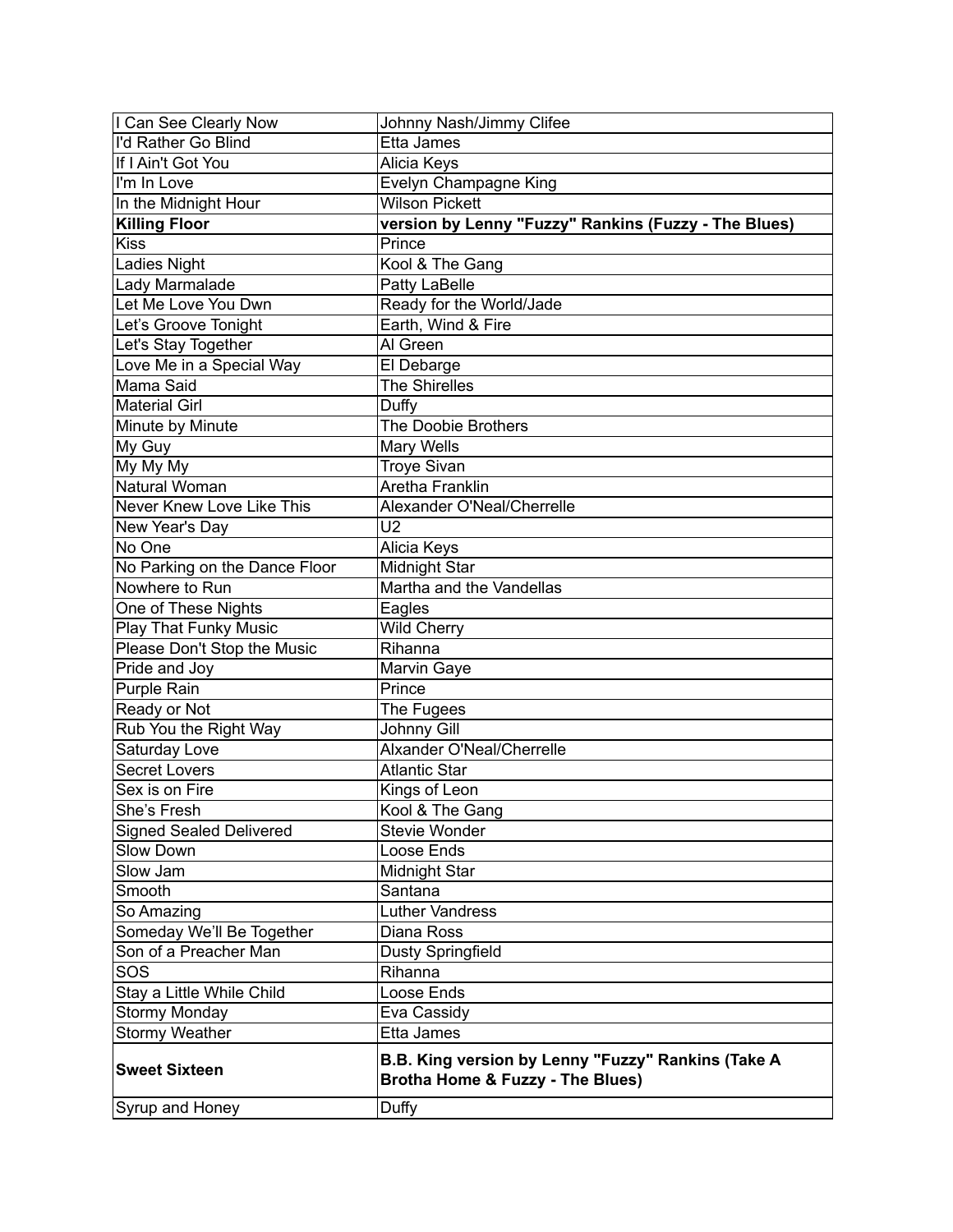| I Can See Clearly Now          | Johnny Nash/Jimmy Clifee                                                                          |
|--------------------------------|---------------------------------------------------------------------------------------------------|
| I'd Rather Go Blind            | Etta James                                                                                        |
| If I Ain't Got You             | Alicia Keys                                                                                       |
| I'm In Love                    | Evelyn Champagne King                                                                             |
| In the Midnight Hour           | <b>Wilson Pickett</b>                                                                             |
| <b>Killing Floor</b>           | version by Lenny "Fuzzy" Rankins (Fuzzy - The Blues)                                              |
| <b>Kiss</b>                    | Prince                                                                                            |
| Ladies Night                   | Kool & The Gang                                                                                   |
| Lady Marmalade                 | Patty LaBelle                                                                                     |
| Let Me Love You Dwn            | Ready for the World/Jade                                                                          |
| Let's Groove Tonight           | Earth, Wind & Fire                                                                                |
| Let's Stay Together            | Al Green                                                                                          |
| Love Me in a Special Way       | El Debarge                                                                                        |
| Mama Said                      | <b>The Shirelles</b>                                                                              |
| <b>Material Girl</b>           | Duffy                                                                                             |
| Minute by Minute               | The Doobie Brothers                                                                               |
| My Guy                         | Mary Wells                                                                                        |
| My My My                       | <b>Troye Sivan</b>                                                                                |
| Natural Woman                  | Aretha Franklin                                                                                   |
| Never Knew Love Like This      | Alexander O'Neal/Cherrelle                                                                        |
| New Year's Day                 | U <sub>2</sub>                                                                                    |
| No One                         | Alicia Keys                                                                                       |
| No Parking on the Dance Floor  | Midnight Star                                                                                     |
| Nowhere to Run                 | Martha and the Vandellas                                                                          |
| One of These Nights            | Eagles                                                                                            |
| <b>Play That Funky Music</b>   | <b>Wild Cherry</b>                                                                                |
| Please Don't Stop the Music    | Rihanna                                                                                           |
| Pride and Joy                  | Marvin Gaye                                                                                       |
| Purple Rain                    | Prince                                                                                            |
| Ready or Not                   | The Fugees                                                                                        |
| Rub You the Right Way          | Johnny Gill                                                                                       |
| Saturday Love                  | Alxander O'Neal/Cherrelle                                                                         |
| <b>Secret Lovers</b>           | <b>Atlantic Star</b>                                                                              |
| Sex is on Fire                 | Kings of Leon                                                                                     |
| She's Fresh                    | Kool & The Gang                                                                                   |
| <b>Signed Sealed Delivered</b> | Stevie Wonder                                                                                     |
| Slow Down                      | Loose Ends                                                                                        |
| Slow Jam                       | Midnight Star                                                                                     |
| Smooth                         | Santana                                                                                           |
| So Amazing                     | Luther Vandress                                                                                   |
| Someday We'll Be Together      | Diana Ross                                                                                        |
| Son of a Preacher Man          | <b>Dusty Springfield</b>                                                                          |
| SOS                            | Rihanna                                                                                           |
| Stay a Little While Child      | Loose Ends                                                                                        |
| <b>Stormy Monday</b>           | Eva Cassidy                                                                                       |
| <b>Stormy Weather</b>          | Etta James                                                                                        |
| <b>Sweet Sixteen</b>           | B.B. King version by Lenny "Fuzzy" Rankins (Take A<br><b>Brotha Home &amp; Fuzzy - The Blues)</b> |
| Syrup and Honey                | Duffy                                                                                             |